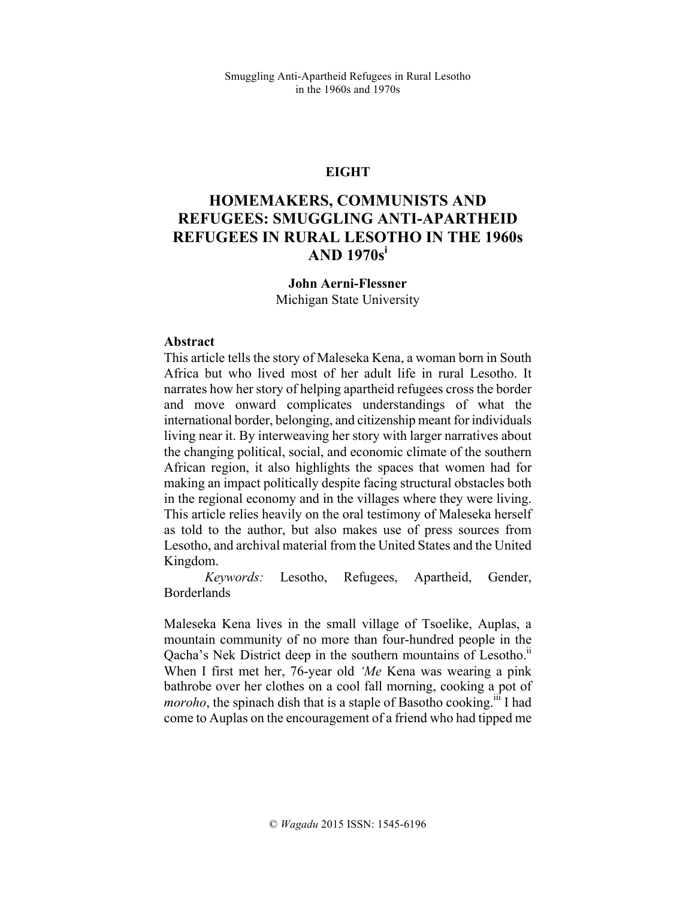# **EIGHT**

# **HOMEMAKERS, COMMUNISTS AND REFUGEES: SMUGGLING ANTI-APARTHEID REFUGEES IN RURAL LESOTHO IN THE 1960s AND 1970s<sup>i</sup>**

### **John Aerni-Flessner**

Michigan State University

#### **Abstract**

This article tells the story of Maleseka Kena, a woman born in South Africa but who lived most of her adult life in rural Lesotho. It narrates how her story of helping apartheid refugees cross the border and move onward complicates understandings of what the international border, belonging, and citizenship meant for individuals living near it. By interweaving her story with larger narratives about the changing political, social, and economic climate of the southern African region, it also highlights the spaces that women had for making an impact politically despite facing structural obstacles both in the regional economy and in the villages where they were living. This article relies heavily on the oral testimony of Maleseka herself as told to the author, but also makes use of press sources from Lesotho, and archival material from the United States and the United Kingdom.

*Keywords:* Lesotho, Refugees, Apartheid, Gender, **Borderlands** 

Maleseka Kena lives in the small village of Tsoelike, Auplas, a mountain community of no more than four-hundred people in the Qacha's Nek District deep in the southern mountains of Lesotho.<sup>11</sup> When I first met her, 76-year old *'Me* Kena was wearing a pink bathrobe over her clothes on a cool fall morning, cooking a pot of *moroho*, the spinach dish that is a staple of Basotho cooking.<sup>iii</sup> I had come to Auplas on the encouragement of a friend who had tipped me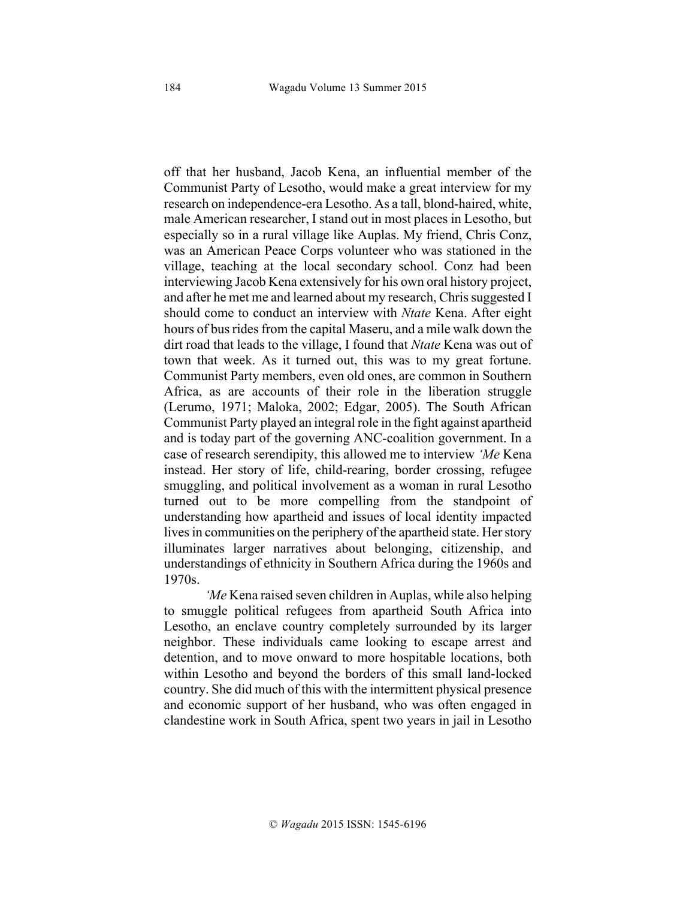off that her husband, Jacob Kena, an influential member of the Communist Party of Lesotho, would make a great interview for my research on independence-era Lesotho. As a tall, blond-haired, white, male American researcher, I stand out in most places in Lesotho, but especially so in a rural village like Auplas. My friend, Chris Conz, was an American Peace Corps volunteer who was stationed in the village, teaching at the local secondary school. Conz had been interviewing Jacob Kena extensively for his own oral history project, and after he met me and learned about my research, Chris suggested I should come to conduct an interview with *Ntate* Kena. After eight hours of bus rides from the capital Maseru, and a mile walk down the dirt road that leads to the village, I found that *Ntate* Kena was out of town that week. As it turned out, this was to my great fortune. Communist Party members, even old ones, are common in Southern Africa, as are accounts of their role in the liberation struggle (Lerumo, 1971; Maloka, 2002; Edgar, 2005). The South African Communist Party played an integral role in the fight against apartheid and is today part of the governing ANC-coalition government. In a case of research serendipity, this allowed me to interview *'Me* Kena instead. Her story of life, child-rearing, border crossing, refugee smuggling, and political involvement as a woman in rural Lesotho turned out to be more compelling from the standpoint of understanding how apartheid and issues of local identity impacted lives in communities on the periphery of the apartheid state. Her story illuminates larger narratives about belonging, citizenship, and understandings of ethnicity in Southern Africa during the 1960s and 1970s.

*'Me* Kena raised seven children in Auplas, while also helping to smuggle political refugees from apartheid South Africa into Lesotho, an enclave country completely surrounded by its larger neighbor. These individuals came looking to escape arrest and detention, and to move onward to more hospitable locations, both within Lesotho and beyond the borders of this small land-locked country. She did much of this with the intermittent physical presence and economic support of her husband, who was often engaged in clandestine work in South Africa, spent two years in jail in Lesotho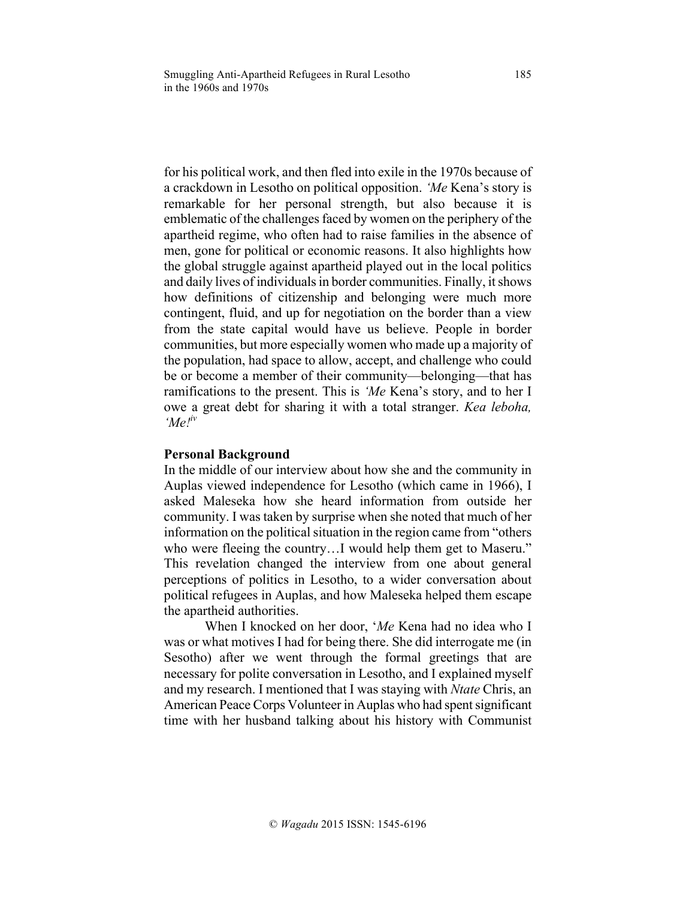for his political work, and then fled into exile in the 1970s because of a crackdown in Lesotho on political opposition. *'Me* Kena's story is remarkable for her personal strength, but also because it is emblematic of the challenges faced by women on the periphery of the apartheid regime, who often had to raise families in the absence of men, gone for political or economic reasons. It also highlights how the global struggle against apartheid played out in the local politics and daily lives of individuals in border communities. Finally, it shows how definitions of citizenship and belonging were much more contingent, fluid, and up for negotiation on the border than a view from the state capital would have us believe. People in border communities, but more especially women who made up a majority of the population, had space to allow, accept, and challenge who could be or become a member of their community—belonging—that has ramifications to the present. This is *'Me* Kena's story, and to her I owe a great debt for sharing it with a total stranger. *Kea leboha, 'Me!iv*

## **Personal Background**

In the middle of our interview about how she and the community in Auplas viewed independence for Lesotho (which came in 1966), I asked Maleseka how she heard information from outside her community. I was taken by surprise when she noted that much of her information on the political situation in the region came from "others who were fleeing the country...I would help them get to Maseru." This revelation changed the interview from one about general perceptions of politics in Lesotho, to a wider conversation about political refugees in Auplas, and how Maleseka helped them escape the apartheid authorities.

When I knocked on her door, '*Me* Kena had no idea who I was or what motives I had for being there. She did interrogate me (in Sesotho) after we went through the formal greetings that are necessary for polite conversation in Lesotho, and I explained myself and my research. I mentioned that I was staying with *Ntate* Chris, an American Peace Corps Volunteer in Auplas who had spent significant time with her husband talking about his history with Communist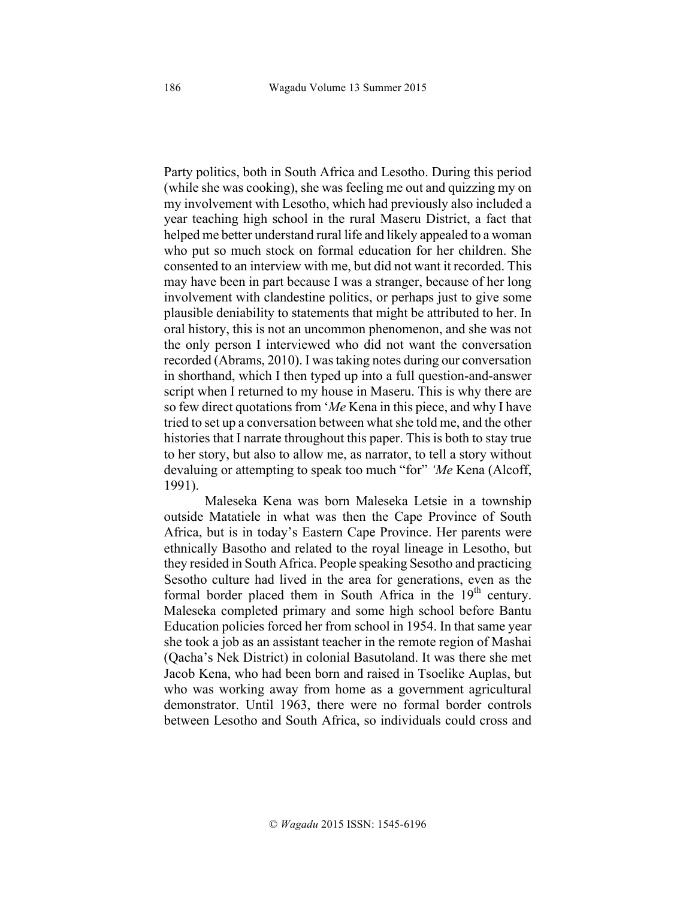Party politics, both in South Africa and Lesotho. During this period (while she was cooking), she was feeling me out and quizzing my on my involvement with Lesotho, which had previously also included a year teaching high school in the rural Maseru District, a fact that helped me better understand rural life and likely appealed to a woman who put so much stock on formal education for her children. She consented to an interview with me, but did not want it recorded. This may have been in part because I was a stranger, because of her long involvement with clandestine politics, or perhaps just to give some plausible deniability to statements that might be attributed to her. In oral history, this is not an uncommon phenomenon, and she was not the only person I interviewed who did not want the conversation recorded (Abrams, 2010). I was taking notes during our conversation in shorthand, which I then typed up into a full question-and-answer script when I returned to my house in Maseru. This is why there are so few direct quotations from '*Me* Kena in this piece, and why I have tried to set up a conversation between what she told me, and the other histories that I narrate throughout this paper. This is both to stay true to her story, but also to allow me, as narrator, to tell a story without devaluing or attempting to speak too much "for" *'Me* Kena (Alcoff, 1991).

Maleseka Kena was born Maleseka Letsie in a township outside Matatiele in what was then the Cape Province of South Africa, but is in today's Eastern Cape Province. Her parents were ethnically Basotho and related to the royal lineage in Lesotho, but they resided in South Africa. People speaking Sesotho and practicing Sesotho culture had lived in the area for generations, even as the formal border placed them in South Africa in the  $19<sup>th</sup>$  century. Maleseka completed primary and some high school before Bantu Education policies forced her from school in 1954. In that same year she took a job as an assistant teacher in the remote region of Mashai (Qacha's Nek District) in colonial Basutoland. It was there she met Jacob Kena, who had been born and raised in Tsoelike Auplas, but who was working away from home as a government agricultural demonstrator. Until 1963, there were no formal border controls between Lesotho and South Africa, so individuals could cross and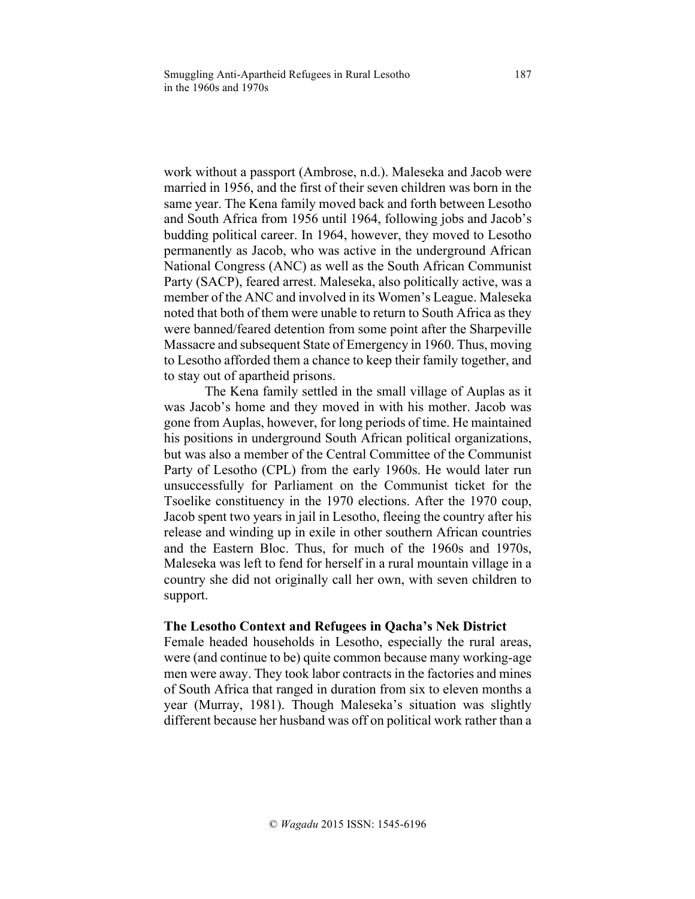work without a passport (Ambrose, n.d.). Maleseka and Jacob were married in 1956, and the first of their seven children was born in the same year. The Kena family moved back and forth between Lesotho and South Africa from 1956 until 1964, following jobs and Jacob's budding political career. In 1964, however, they moved to Lesotho permanently as Jacob, who was active in the underground African National Congress (ANC) as well as the South African Communist Party (SACP), feared arrest. Maleseka, also politically active, was a member of the ANC and involved in its Women's League. Maleseka noted that both of them were unable to return to South Africa as they were banned/feared detention from some point after the Sharpeville Massacre and subsequent State of Emergency in 1960. Thus, moving to Lesotho afforded them a chance to keep their family together, and to stay out of apartheid prisons.

The Kena family settled in the small village of Auplas as it was Jacob's home and they moved in with his mother. Jacob was gone from Auplas, however, for long periods of time. He maintained his positions in underground South African political organizations, but was also a member of the Central Committee of the Communist Party of Lesotho (CPL) from the early 1960s. He would later run unsuccessfully for Parliament on the Communist ticket for the Tsoelike constituency in the 1970 elections. After the 1970 coup, Jacob spent two years in jail in Lesotho, fleeing the country after his release and winding up in exile in other southern African countries and the Eastern Bloc. Thus, for much of the 1960s and 1970s, Maleseka was left to fend for herself in a rural mountain village in a country she did not originally call her own, with seven children to support.

### **The Lesotho Context and Refugees in Qacha's Nek District**

Female headed households in Lesotho, especially the rural areas, were (and continue to be) quite common because many working-age men were away. They took labor contracts in the factories and mines of South Africa that ranged in duration from six to eleven months a year (Murray, 1981). Though Maleseka's situation was slightly different because her husband was off on political work rather than a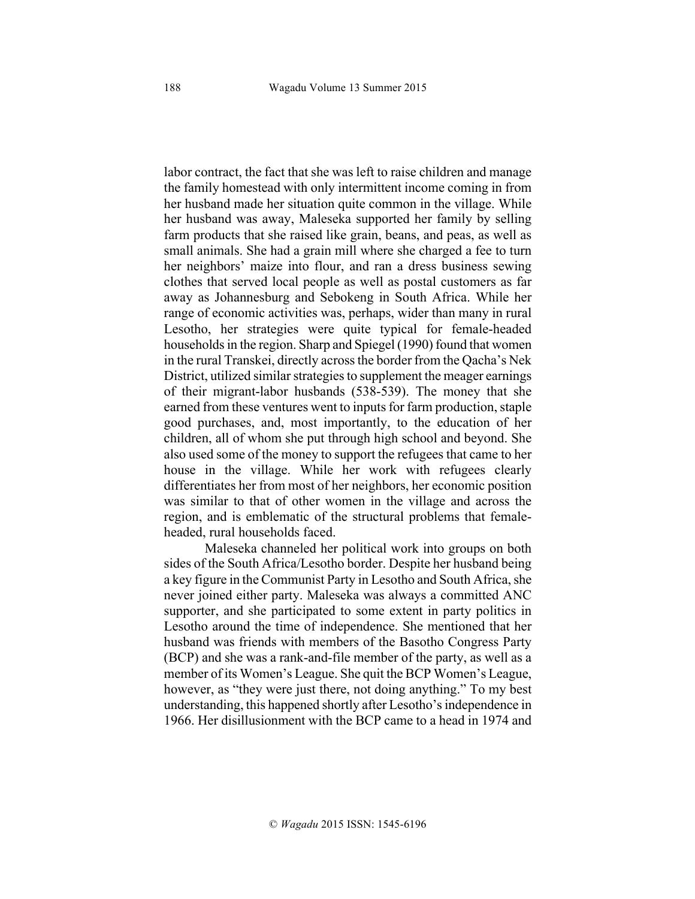labor contract, the fact that she was left to raise children and manage the family homestead with only intermittent income coming in from her husband made her situation quite common in the village. While her husband was away, Maleseka supported her family by selling farm products that she raised like grain, beans, and peas, as well as small animals. She had a grain mill where she charged a fee to turn her neighbors' maize into flour, and ran a dress business sewing clothes that served local people as well as postal customers as far away as Johannesburg and Sebokeng in South Africa. While her range of economic activities was, perhaps, wider than many in rural Lesotho, her strategies were quite typical for female-headed households in the region. Sharp and Spiegel (1990) found that women in the rural Transkei, directly across the border from the Qacha's Nek District, utilized similar strategies to supplement the meager earnings of their migrant-labor husbands (538-539). The money that she earned from these ventures went to inputs for farm production, staple good purchases, and, most importantly, to the education of her children, all of whom she put through high school and beyond. She also used some of the money to support the refugees that came to her house in the village. While her work with refugees clearly differentiates her from most of her neighbors, her economic position was similar to that of other women in the village and across the region, and is emblematic of the structural problems that femaleheaded, rural households faced.

Maleseka channeled her political work into groups on both sides of the South Africa/Lesotho border. Despite her husband being a key figure in the Communist Party in Lesotho and South Africa, she never joined either party. Maleseka was always a committed ANC supporter, and she participated to some extent in party politics in Lesotho around the time of independence. She mentioned that her husband was friends with members of the Basotho Congress Party (BCP) and she was a rank-and-file member of the party, as well as a member of its Women's League. She quit the BCP Women's League, however, as "they were just there, not doing anything." To my best understanding, this happened shortly after Lesotho's independence in 1966. Her disillusionment with the BCP came to a head in 1974 and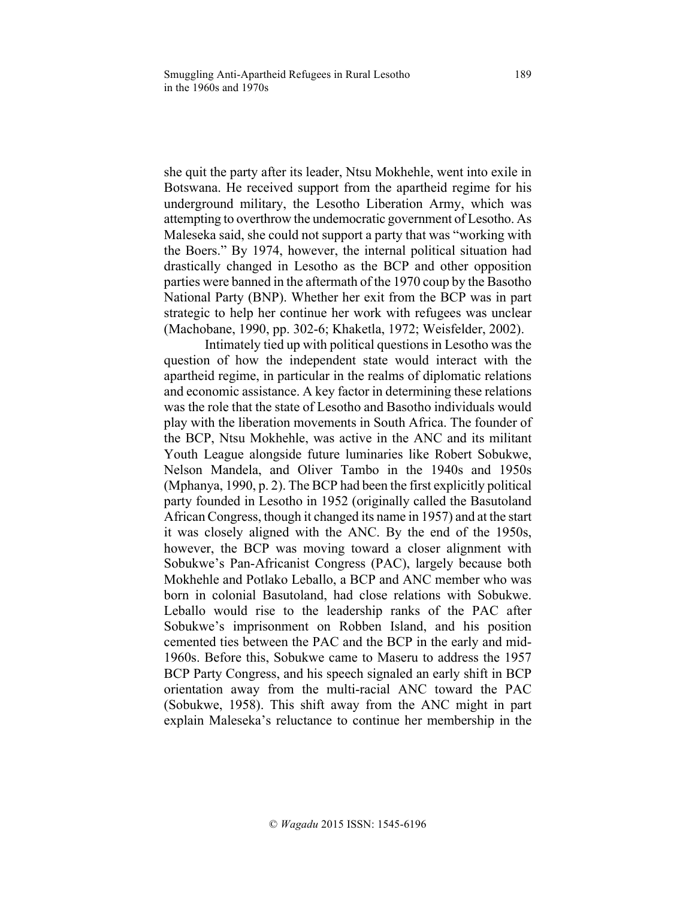she quit the party after its leader, Ntsu Mokhehle, went into exile in Botswana. He received support from the apartheid regime for his underground military, the Lesotho Liberation Army, which was attempting to overthrow the undemocratic government of Lesotho. As Maleseka said, she could not support a party that was "working with the Boers." By 1974, however, the internal political situation had drastically changed in Lesotho as the BCP and other opposition parties were banned in the aftermath of the 1970 coup by the Basotho National Party (BNP). Whether her exit from the BCP was in part strategic to help her continue her work with refugees was unclear (Machobane, 1990, pp. 302-6; Khaketla, 1972; Weisfelder, 2002).

Intimately tied up with political questions in Lesotho was the question of how the independent state would interact with the apartheid regime, in particular in the realms of diplomatic relations and economic assistance. A key factor in determining these relations was the role that the state of Lesotho and Basotho individuals would play with the liberation movements in South Africa. The founder of the BCP, Ntsu Mokhehle, was active in the ANC and its militant Youth League alongside future luminaries like Robert Sobukwe, Nelson Mandela, and Oliver Tambo in the 1940s and 1950s (Mphanya, 1990, p. 2). The BCP had been the first explicitly political party founded in Lesotho in 1952 (originally called the Basutoland African Congress, though it changed its name in 1957) and at the start it was closely aligned with the ANC. By the end of the 1950s, however, the BCP was moving toward a closer alignment with Sobukwe's Pan-Africanist Congress (PAC), largely because both Mokhehle and Potlako Leballo, a BCP and ANC member who was born in colonial Basutoland, had close relations with Sobukwe. Leballo would rise to the leadership ranks of the PAC after Sobukwe's imprisonment on Robben Island, and his position cemented ties between the PAC and the BCP in the early and mid-1960s. Before this, Sobukwe came to Maseru to address the 1957 BCP Party Congress, and his speech signaled an early shift in BCP orientation away from the multi-racial ANC toward the PAC (Sobukwe, 1958). This shift away from the ANC might in part explain Maleseka's reluctance to continue her membership in the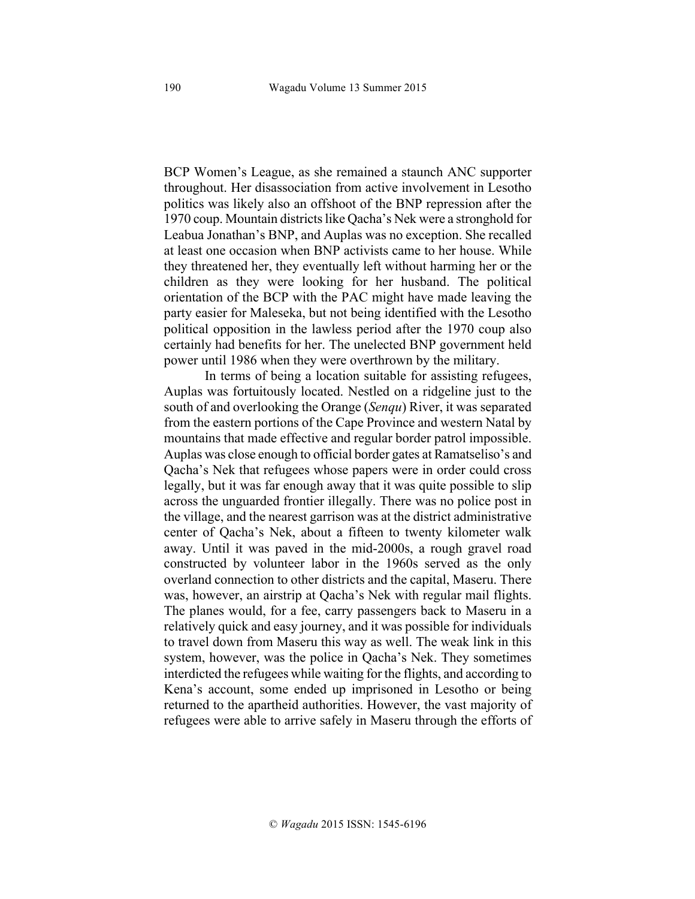BCP Women's League, as she remained a staunch ANC supporter throughout. Her disassociation from active involvement in Lesotho politics was likely also an offshoot of the BNP repression after the 1970 coup. Mountain districtslike Qacha's Nek were a stronghold for Leabua Jonathan's BNP, and Auplas was no exception. She recalled at least one occasion when BNP activists came to her house. While they threatened her, they eventually left without harming her or the children as they were looking for her husband. The political orientation of the BCP with the PAC might have made leaving the party easier for Maleseka, but not being identified with the Lesotho political opposition in the lawless period after the 1970 coup also certainly had benefits for her. The unelected BNP government held power until 1986 when they were overthrown by the military.

In terms of being a location suitable for assisting refugees, Auplas was fortuitously located. Nestled on a ridgeline just to the south of and overlooking the Orange (*Senqu*) River, it was separated from the eastern portions of the Cape Province and western Natal by mountains that made effective and regular border patrol impossible. Auplas was close enough to official border gates at Ramatseliso's and Qacha's Nek that refugees whose papers were in order could cross legally, but it was far enough away that it was quite possible to slip across the unguarded frontier illegally. There was no police post in the village, and the nearest garrison was at the district administrative center of Qacha's Nek, about a fifteen to twenty kilometer walk away. Until it was paved in the mid-2000s, a rough gravel road constructed by volunteer labor in the 1960s served as the only overland connection to other districts and the capital, Maseru. There was, however, an airstrip at Qacha's Nek with regular mail flights. The planes would, for a fee, carry passengers back to Maseru in a relatively quick and easy journey, and it was possible for individuals to travel down from Maseru this way as well. The weak link in this system, however, was the police in Qacha's Nek. They sometimes interdicted the refugees while waiting for the flights, and according to Kena's account, some ended up imprisoned in Lesotho or being returned to the apartheid authorities. However, the vast majority of refugees were able to arrive safely in Maseru through the efforts of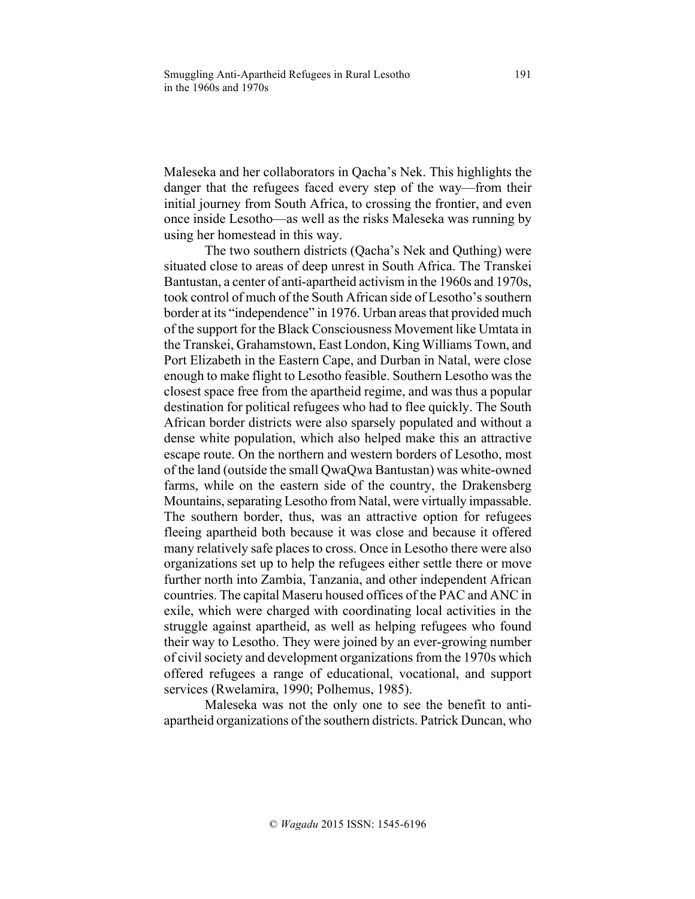Maleseka and her collaborators in Qacha's Nek. This highlights the danger that the refugees faced every step of the way—from their initial journey from South Africa, to crossing the frontier, and even once inside Lesotho—as well as the risks Maleseka was running by using her homestead in this way.

The two southern districts (Qacha's Nek and Quthing) were situated close to areas of deep unrest in South Africa. The Transkei Bantustan, a center of anti-apartheid activism in the 1960s and 1970s, took control of much of the South African side of Lesotho's southern border at its "independence" in 1976. Urban areas that provided much of the support for the Black Consciousness Movement like Umtata in the Transkei, Grahamstown, East London, King Williams Town, and Port Elizabeth in the Eastern Cape, and Durban in Natal, were close enough to make flight to Lesotho feasible. Southern Lesotho was the closest space free from the apartheid regime, and was thus a popular destination for political refugees who had to flee quickly. The South African border districts were also sparsely populated and without a dense white population, which also helped make this an attractive escape route. On the northern and western borders of Lesotho, most of the land (outside the small QwaQwa Bantustan) was white-owned farms, while on the eastern side of the country, the Drakensberg Mountains, separating Lesotho from Natal, were virtually impassable. The southern border, thus, was an attractive option for refugees fleeing apartheid both because it was close and because it offered many relatively safe places to cross. Once in Lesotho there were also organizations set up to help the refugees either settle there or move further north into Zambia, Tanzania, and other independent African countries. The capital Maseru housed offices of the PAC and ANC in exile, which were charged with coordinating local activities in the struggle against apartheid, as well as helping refugees who found their way to Lesotho. They were joined by an ever-growing number of civil society and development organizations from the 1970s which offered refugees a range of educational, vocational, and support services (Rwelamira, 1990; Polhemus, 1985).

Maleseka was not the only one to see the benefit to antiapartheid organizations of the southern districts. Patrick Duncan, who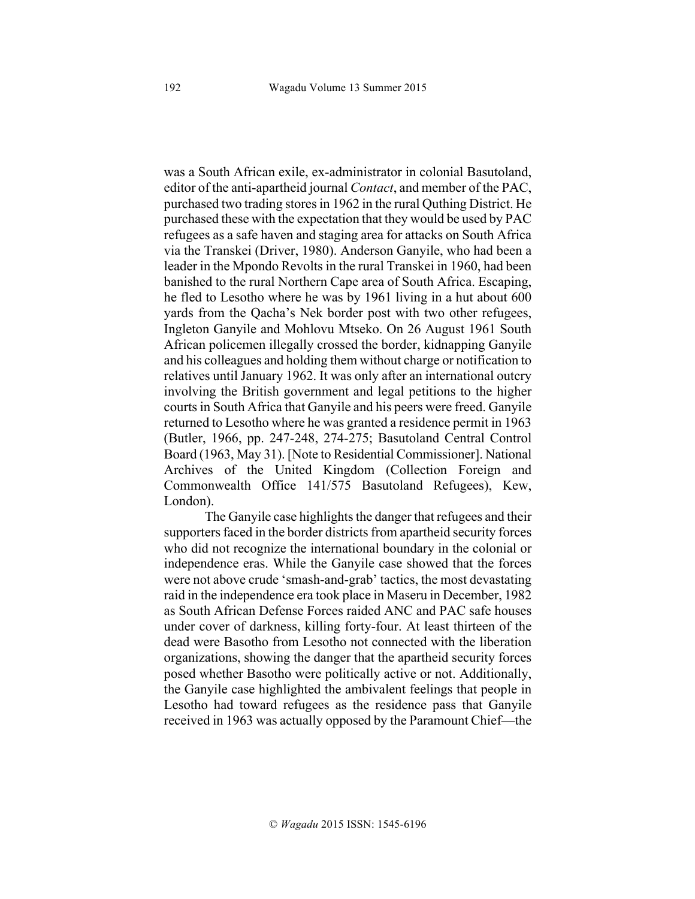was a South African exile, ex-administrator in colonial Basutoland, editor of the anti-apartheid journal *Contact*, and member of the PAC, purchased two trading stores in 1962 in the rural Quthing District. He purchased these with the expectation that they would be used by PAC refugees as a safe haven and staging area for attacks on South Africa via the Transkei (Driver, 1980). Anderson Ganyile, who had been a leader in the Mpondo Revolts in the rural Transkei in 1960, had been banished to the rural Northern Cape area of South Africa. Escaping, he fled to Lesotho where he was by 1961 living in a hut about 600 yards from the Qacha's Nek border post with two other refugees, Ingleton Ganyile and Mohlovu Mtseko. On 26 August 1961 South African policemen illegally crossed the border, kidnapping Ganyile and his colleagues and holding them without charge or notification to relatives until January 1962. It was only after an international outcry involving the British government and legal petitions to the higher courts in South Africa that Ganyile and his peers were freed. Ganyile returned to Lesotho where he was granted a residence permit in 1963 (Butler, 1966, pp. 247-248, 274-275; Basutoland Central Control Board (1963, May 31). [Note to Residential Commissioner]. National Archives of the United Kingdom (Collection Foreign and Commonwealth Office 141/575 Basutoland Refugees), Kew, London).

The Ganyile case highlights the danger that refugees and their supporters faced in the border districts from apartheid security forces who did not recognize the international boundary in the colonial or independence eras. While the Ganyile case showed that the forces were not above crude 'smash-and-grab' tactics, the most devastating raid in the independence era took place in Maseru in December, 1982 as South African Defense Forces raided ANC and PAC safe houses under cover of darkness, killing forty-four. At least thirteen of the dead were Basotho from Lesotho not connected with the liberation organizations, showing the danger that the apartheid security forces posed whether Basotho were politically active or not. Additionally, the Ganyile case highlighted the ambivalent feelings that people in Lesotho had toward refugees as the residence pass that Ganyile received in 1963 was actually opposed by the Paramount Chief—the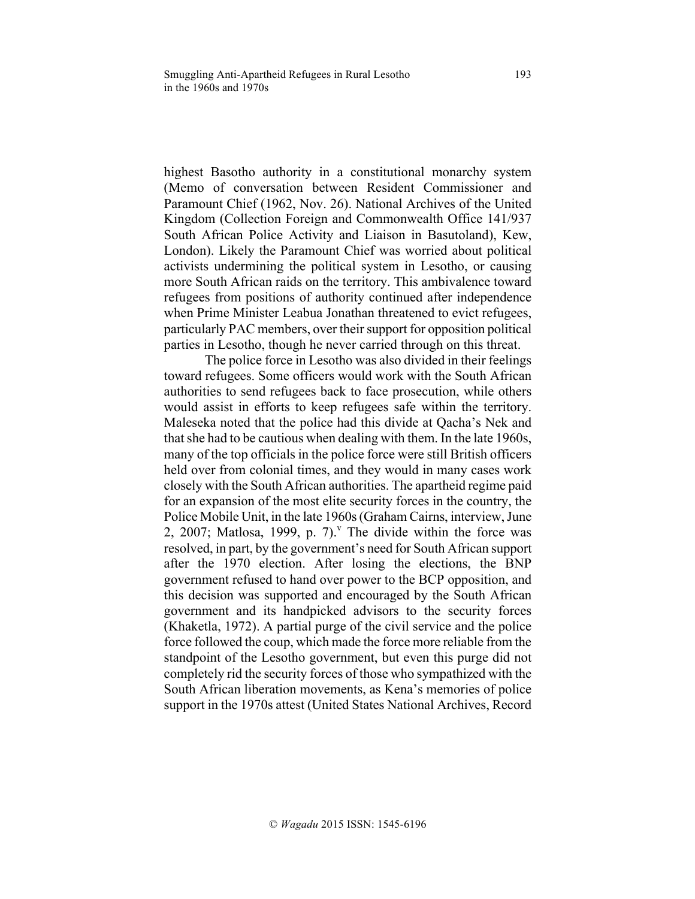highest Basotho authority in a constitutional monarchy system (Memo of conversation between Resident Commissioner and Paramount Chief (1962, Nov. 26). National Archives of the United Kingdom (Collection Foreign and Commonwealth Office 141/937 South African Police Activity and Liaison in Basutoland), Kew, London). Likely the Paramount Chief was worried about political activists undermining the political system in Lesotho, or causing more South African raids on the territory. This ambivalence toward refugees from positions of authority continued after independence when Prime Minister Leabua Jonathan threatened to evict refugees, particularly PAC members, over their support for opposition political parties in Lesotho, though he never carried through on this threat.

The police force in Lesotho was also divided in their feelings toward refugees. Some officers would work with the South African authorities to send refugees back to face prosecution, while others would assist in efforts to keep refugees safe within the territory. Maleseka noted that the police had this divide at Qacha's Nek and that she had to be cautious when dealing with them. In the late 1960s, many of the top officials in the police force were still British officers held over from colonial times, and they would in many cases work closely with the South African authorities. The apartheid regime paid for an expansion of the most elite security forces in the country, the Police Mobile Unit, in the late 1960s (Graham Cairns, interview, June 2, 2007; Matlosa, 1999, p. 7). The divide within the force was resolved, in part, by the government's need for South African support after the 1970 election. After losing the elections, the BNP government refused to hand over power to the BCP opposition, and this decision was supported and encouraged by the South African government and its handpicked advisors to the security forces (Khaketla, 1972). A partial purge of the civil service and the police force followed the coup, which made the force more reliable from the standpoint of the Lesotho government, but even this purge did not completely rid the security forces of those who sympathized with the South African liberation movements, as Kena's memories of police support in the 1970s attest (United States National Archives, Record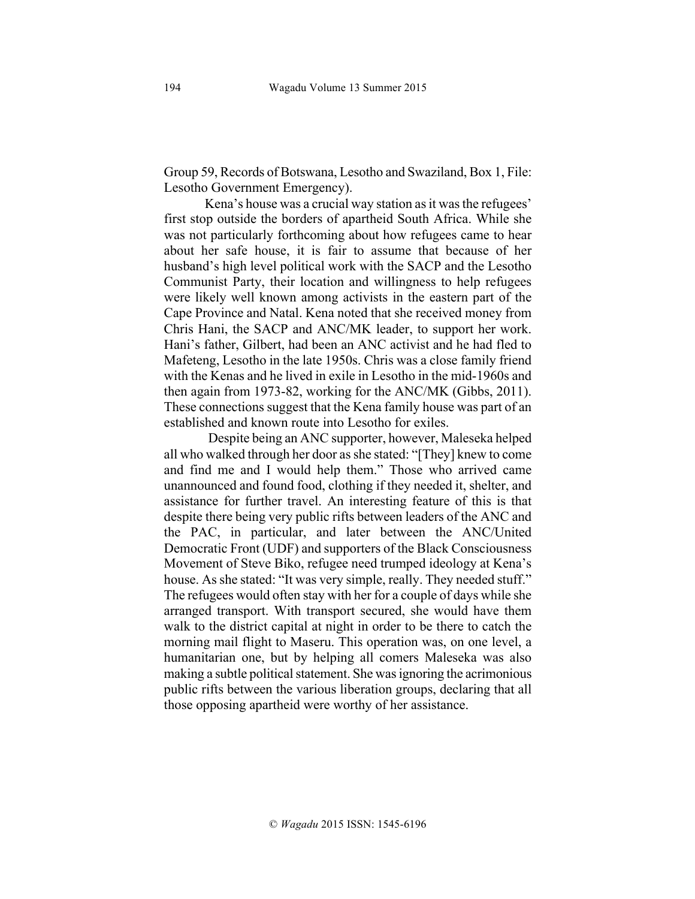Group 59, Records of Botswana, Lesotho and Swaziland, Box 1, File: Lesotho Government Emergency).

Kena's house was a crucial way station as it was the refugees' first stop outside the borders of apartheid South Africa. While she was not particularly forthcoming about how refugees came to hear about her safe house, it is fair to assume that because of her husband's high level political work with the SACP and the Lesotho Communist Party, their location and willingness to help refugees were likely well known among activists in the eastern part of the Cape Province and Natal. Kena noted that she received money from Chris Hani, the SACP and ANC/MK leader, to support her work. Hani's father, Gilbert, had been an ANC activist and he had fled to Mafeteng, Lesotho in the late 1950s. Chris was a close family friend with the Kenas and he lived in exile in Lesotho in the mid-1960s and then again from 1973-82, working for the ANC/MK (Gibbs, 2011). These connections suggest that the Kena family house was part of an established and known route into Lesotho for exiles.

Despite being an ANC supporter, however, Maleseka helped all who walked through her door as she stated: "[They] knew to come and find me and I would help them." Those who arrived came unannounced and found food, clothing if they needed it, shelter, and assistance for further travel. An interesting feature of this is that despite there being very public rifts between leaders of the ANC and the PAC, in particular, and later between the ANC/United Democratic Front (UDF) and supporters of the Black Consciousness Movement of Steve Biko, refugee need trumped ideology at Kena's house. As she stated: "It was very simple, really. They needed stuff." The refugees would often stay with her for a couple of days while she arranged transport. With transport secured, she would have them walk to the district capital at night in order to be there to catch the morning mail flight to Maseru. This operation was, on one level, a humanitarian one, but by helping all comers Maleseka was also making a subtle political statement. She was ignoring the acrimonious public rifts between the various liberation groups, declaring that all those opposing apartheid were worthy of her assistance.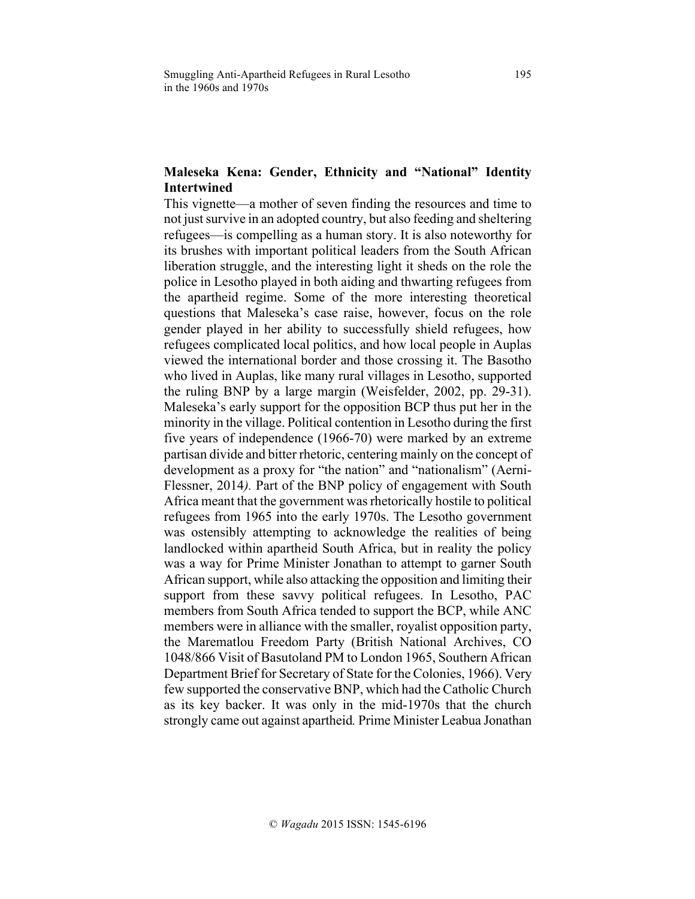# **Maleseka Kena: Gender, Ethnicity and "National" Identity Intertwined**

This vignette—a mother of seven finding the resources and time to not just survive in an adopted country, but also feeding and sheltering refugees—is compelling as a human story. It is also noteworthy for its brushes with important political leaders from the South African liberation struggle, and the interesting light it sheds on the role the police in Lesotho played in both aiding and thwarting refugees from the apartheid regime. Some of the more interesting theoretical questions that Maleseka's case raise, however, focus on the role gender played in her ability to successfully shield refugees, how refugees complicated local politics, and how local people in Auplas viewed the international border and those crossing it. The Basotho who lived in Auplas, like many rural villages in Lesotho, supported the ruling BNP by a large margin (Weisfelder, 2002, pp. 29-31). Maleseka's early support for the opposition BCP thus put her in the minority in the village. Political contention in Lesotho during the first five years of independence (1966-70) were marked by an extreme partisan divide and bitter rhetoric, centering mainly on the concept of development as a proxy for "the nation" and "nationalism" (Aerni-Flessner, 2014*).* Part of the BNP policy of engagement with South Africa meant that the government was rhetorically hostile to political refugees from 1965 into the early 1970s. The Lesotho government was ostensibly attempting to acknowledge the realities of being landlocked within apartheid South Africa, but in reality the policy was a way for Prime Minister Jonathan to attempt to garner South African support, while also attacking the opposition and limiting their support from these savvy political refugees. In Lesotho, PAC members from South Africa tended to support the BCP, while ANC members were in alliance with the smaller, royalist opposition party, the Marematlou Freedom Party (British National Archives, CO 1048/866 Visit of Basutoland PM to London 1965, Southern African Department Brief for Secretary of State for the Colonies, 1966). Very few supported the conservative BNP, which had the Catholic Church as its key backer. It was only in the mid-1970s that the church strongly came out against apartheid*.* Prime Minister Leabua Jonathan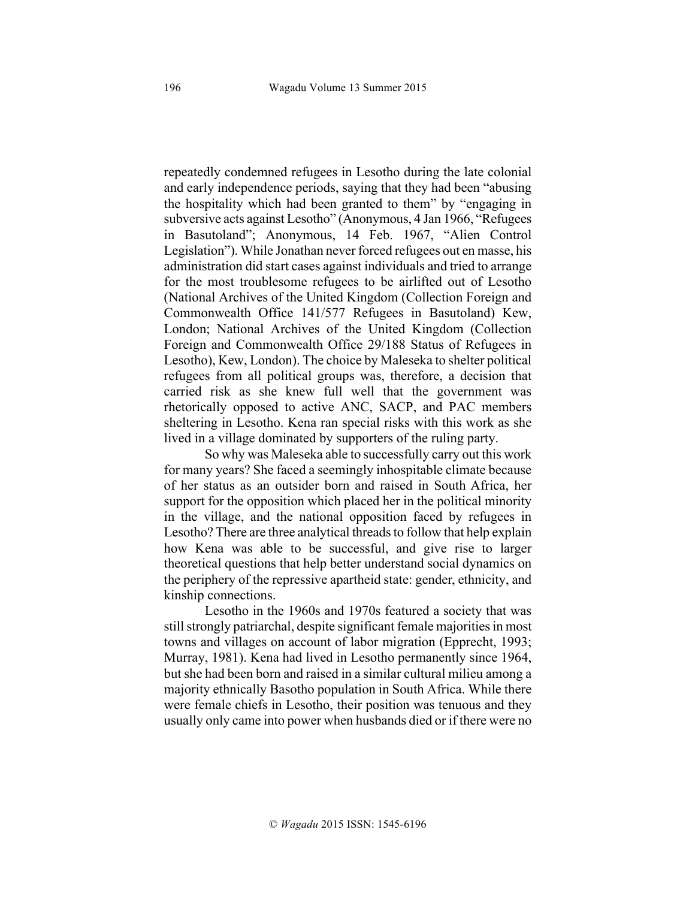repeatedly condemned refugees in Lesotho during the late colonial and early independence periods, saying that they had been "abusing the hospitality which had been granted to them" by "engaging in subversive acts against Lesotho" (Anonymous, 4 Jan 1966, "Refugees in Basutoland"; Anonymous, 14 Feb. 1967, "Alien Control Legislation"). While Jonathan never forced refugees out en masse, his administration did start cases against individuals and tried to arrange for the most troublesome refugees to be airlifted out of Lesotho (National Archives of the United Kingdom (Collection Foreign and Commonwealth Office 141/577 Refugees in Basutoland) Kew, London; National Archives of the United Kingdom (Collection Foreign and Commonwealth Office 29/188 Status of Refugees in Lesotho), Kew, London). The choice by Maleseka to shelter political refugees from all political groups was, therefore, a decision that carried risk as she knew full well that the government was rhetorically opposed to active ANC, SACP, and PAC members sheltering in Lesotho. Kena ran special risks with this work as she lived in a village dominated by supporters of the ruling party.

So why was Maleseka able to successfully carry out this work for many years? She faced a seemingly inhospitable climate because of her status as an outsider born and raised in South Africa, her support for the opposition which placed her in the political minority in the village, and the national opposition faced by refugees in Lesotho? There are three analytical threads to follow that help explain how Kena was able to be successful, and give rise to larger theoretical questions that help better understand social dynamics on the periphery of the repressive apartheid state: gender, ethnicity, and kinship connections.

Lesotho in the 1960s and 1970s featured a society that was still strongly patriarchal, despite significant female majorities in most towns and villages on account of labor migration (Epprecht, 1993; Murray, 1981). Kena had lived in Lesotho permanently since 1964, but she had been born and raised in a similar cultural milieu among a majority ethnically Basotho population in South Africa. While there were female chiefs in Lesotho, their position was tenuous and they usually only came into power when husbands died or if there were no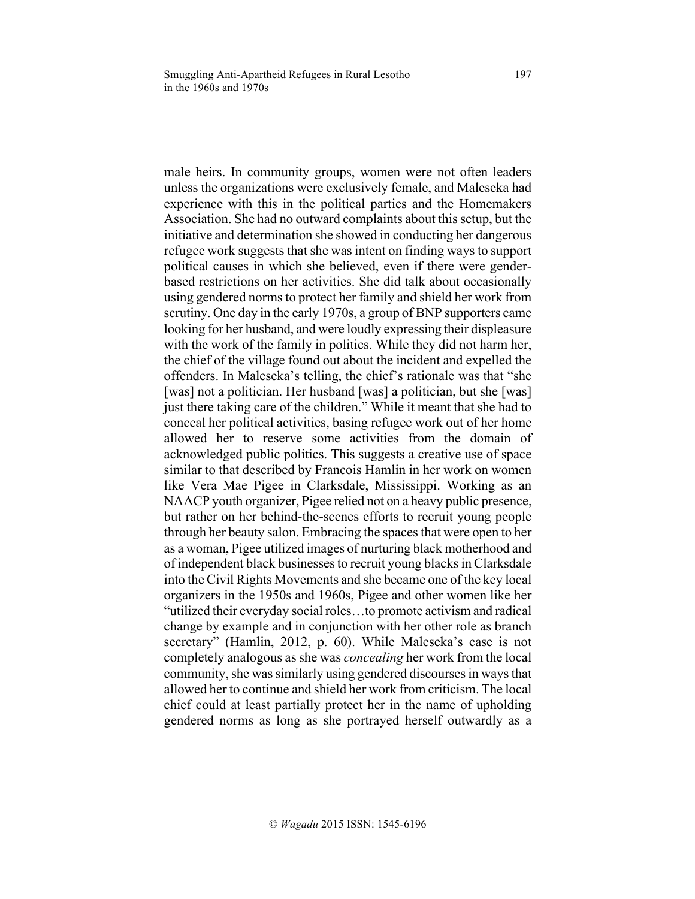male heirs. In community groups, women were not often leaders unless the organizations were exclusively female, and Maleseka had experience with this in the political parties and the Homemakers Association. She had no outward complaints about this setup, but the initiative and determination she showed in conducting her dangerous refugee work suggests that she was intent on finding ways to support political causes in which she believed, even if there were genderbased restrictions on her activities. She did talk about occasionally using gendered norms to protect her family and shield her work from scrutiny. One day in the early 1970s, a group of BNP supporters came looking for her husband, and were loudly expressing their displeasure with the work of the family in politics. While they did not harm her, the chief of the village found out about the incident and expelled the offenders. In Maleseka's telling, the chief's rationale was that "she [was] not a politician. Her husband [was] a politician, but she [was] just there taking care of the children." While it meant that she had to conceal her political activities, basing refugee work out of her home allowed her to reserve some activities from the domain of acknowledged public politics. This suggests a creative use of space similar to that described by Francois Hamlin in her work on women like Vera Mae Pigee in Clarksdale, Mississippi. Working as an NAACP youth organizer, Pigee relied not on a heavy public presence, but rather on her behind-the-scenes efforts to recruit young people through her beauty salon. Embracing the spaces that were open to her as a woman, Pigee utilized images of nurturing black motherhood and of independent black businesses to recruit young blacks in Clarksdale into the Civil Rights Movements and she became one of the key local organizers in the 1950s and 1960s, Pigee and other women like her "utilized their everyday social roles…to promote activism and radical change by example and in conjunction with her other role as branch secretary" (Hamlin, 2012, p. 60). While Maleseka's case is not completely analogous as she was *concealing* her work from the local community, she was similarly using gendered discourses in ways that allowed her to continue and shield her work from criticism. The local chief could at least partially protect her in the name of upholding gendered norms as long as she portrayed herself outwardly as a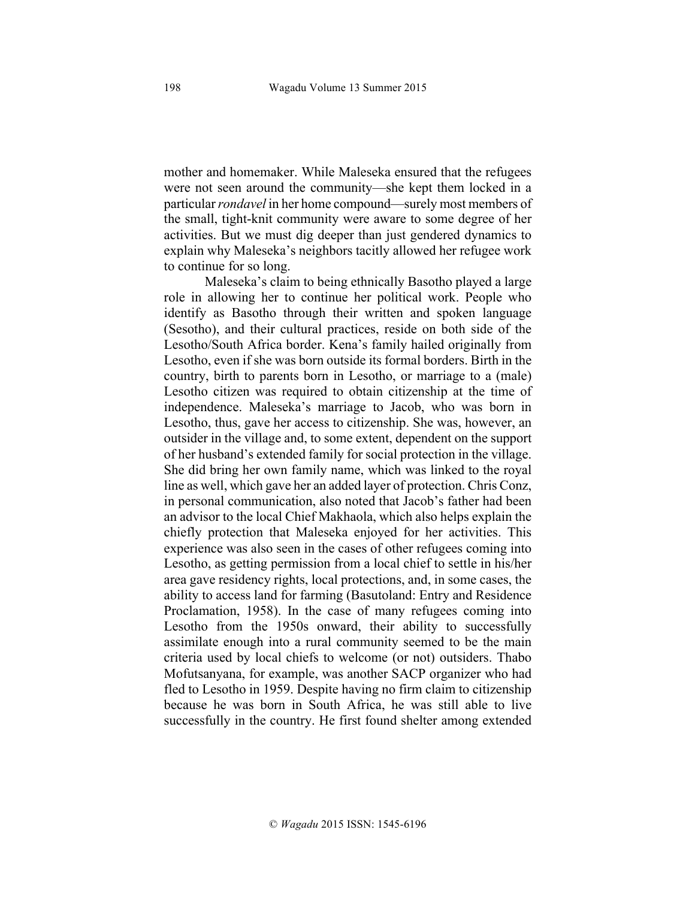mother and homemaker. While Maleseka ensured that the refugees were not seen around the community—she kept them locked in a particular *rondavel* in her home compound—surely most members of the small, tight-knit community were aware to some degree of her activities. But we must dig deeper than just gendered dynamics to explain why Maleseka's neighbors tacitly allowed her refugee work to continue for so long.

Maleseka's claim to being ethnically Basotho played a large role in allowing her to continue her political work. People who identify as Basotho through their written and spoken language (Sesotho), and their cultural practices, reside on both side of the Lesotho/South Africa border. Kena's family hailed originally from Lesotho, even if she was born outside its formal borders. Birth in the country, birth to parents born in Lesotho, or marriage to a (male) Lesotho citizen was required to obtain citizenship at the time of independence. Maleseka's marriage to Jacob, who was born in Lesotho, thus, gave her access to citizenship. She was, however, an outsider in the village and, to some extent, dependent on the support of her husband's extended family for social protection in the village. She did bring her own family name, which was linked to the royal line as well, which gave her an added layer of protection. Chris Conz, in personal communication, also noted that Jacob's father had been an advisor to the local Chief Makhaola, which also helps explain the chiefly protection that Maleseka enjoyed for her activities. This experience was also seen in the cases of other refugees coming into Lesotho, as getting permission from a local chief to settle in his/her area gave residency rights, local protections, and, in some cases, the ability to access land for farming (Basutoland: Entry and Residence Proclamation, 1958). In the case of many refugees coming into Lesotho from the 1950s onward, their ability to successfully assimilate enough into a rural community seemed to be the main criteria used by local chiefs to welcome (or not) outsiders. Thabo Mofutsanyana, for example, was another SACP organizer who had fled to Lesotho in 1959. Despite having no firm claim to citizenship because he was born in South Africa, he was still able to live successfully in the country. He first found shelter among extended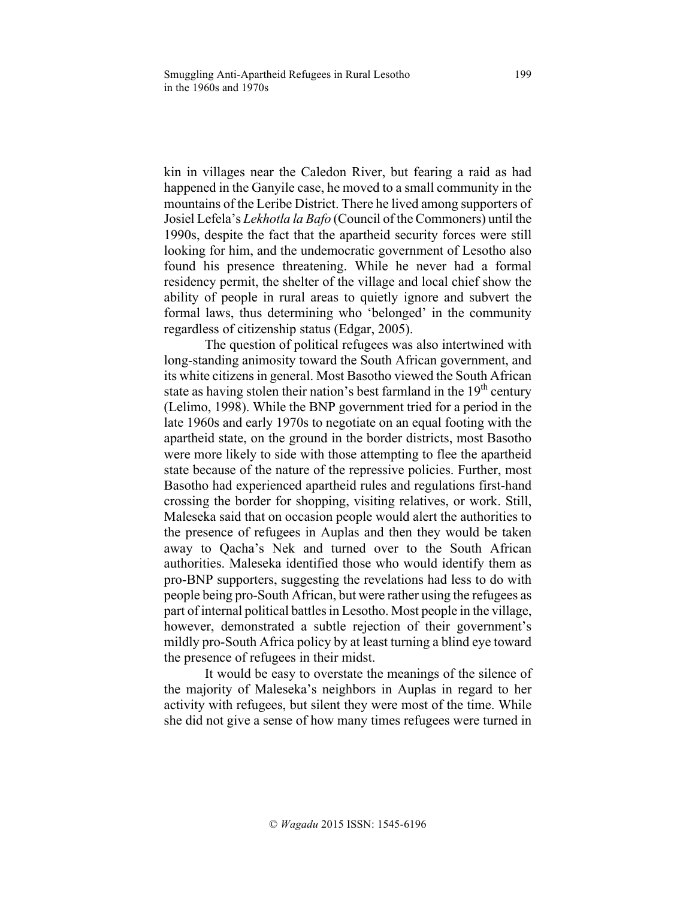kin in villages near the Caledon River, but fearing a raid as had happened in the Ganyile case, he moved to a small community in the mountains of the Leribe District. There he lived among supporters of Josiel Lefela's *Lekhotla la Bafo* (Council of the Commoners) until the 1990s, despite the fact that the apartheid security forces were still looking for him, and the undemocratic government of Lesotho also found his presence threatening. While he never had a formal residency permit, the shelter of the village and local chief show the ability of people in rural areas to quietly ignore and subvert the formal laws, thus determining who 'belonged' in the community regardless of citizenship status (Edgar, 2005).

The question of political refugees was also intertwined with long-standing animosity toward the South African government, and its white citizens in general. Most Basotho viewed the South African state as having stolen their nation's best farmland in the  $19<sup>th</sup>$  century (Lelimo, 1998). While the BNP government tried for a period in the late 1960s and early 1970s to negotiate on an equal footing with the apartheid state, on the ground in the border districts, most Basotho were more likely to side with those attempting to flee the apartheid state because of the nature of the repressive policies. Further, most Basotho had experienced apartheid rules and regulations first-hand crossing the border for shopping, visiting relatives, or work. Still, Maleseka said that on occasion people would alert the authorities to the presence of refugees in Auplas and then they would be taken away to Qacha's Nek and turned over to the South African authorities. Maleseka identified those who would identify them as pro-BNP supporters, suggesting the revelations had less to do with people being pro-South African, but were rather using the refugees as part of internal political battles in Lesotho. Most people in the village, however, demonstrated a subtle rejection of their government's mildly pro-South Africa policy by at least turning a blind eye toward the presence of refugees in their midst.

It would be easy to overstate the meanings of the silence of the majority of Maleseka's neighbors in Auplas in regard to her activity with refugees, but silent they were most of the time. While she did not give a sense of how many times refugees were turned in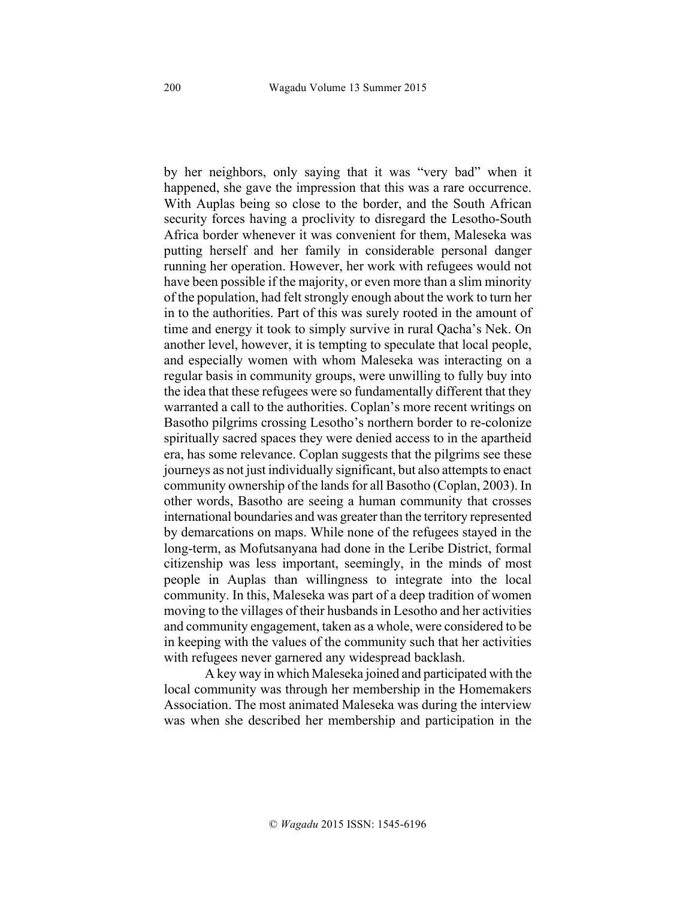by her neighbors, only saying that it was "very bad" when it happened, she gave the impression that this was a rare occurrence. With Auplas being so close to the border, and the South African security forces having a proclivity to disregard the Lesotho-South Africa border whenever it was convenient for them, Maleseka was putting herself and her family in considerable personal danger running her operation. However, her work with refugees would not have been possible if the majority, or even more than a slim minority of the population, had felt strongly enough about the work to turn her in to the authorities. Part of this was surely rooted in the amount of time and energy it took to simply survive in rural Qacha's Nek. On another level, however, it is tempting to speculate that local people, and especially women with whom Maleseka was interacting on a regular basis in community groups, were unwilling to fully buy into the idea that these refugees were so fundamentally different that they warranted a call to the authorities. Coplan's more recent writings on Basotho pilgrims crossing Lesotho's northern border to re-colonize spiritually sacred spaces they were denied access to in the apartheid era, has some relevance. Coplan suggests that the pilgrims see these journeys as not just individually significant, but also attempts to enact community ownership of the lands for all Basotho (Coplan, 2003). In other words, Basotho are seeing a human community that crosses international boundaries and was greater than the territory represented by demarcations on maps. While none of the refugees stayed in the long-term, as Mofutsanyana had done in the Leribe District, formal citizenship was less important, seemingly, in the minds of most people in Auplas than willingness to integrate into the local community. In this, Maleseka was part of a deep tradition of women moving to the villages of their husbands in Lesotho and her activities and community engagement, taken as a whole, were considered to be in keeping with the values of the community such that her activities with refugees never garnered any widespread backlash.

A key way in which Maleseka joined and participated with the local community was through her membership in the Homemakers Association. The most animated Maleseka was during the interview was when she described her membership and participation in the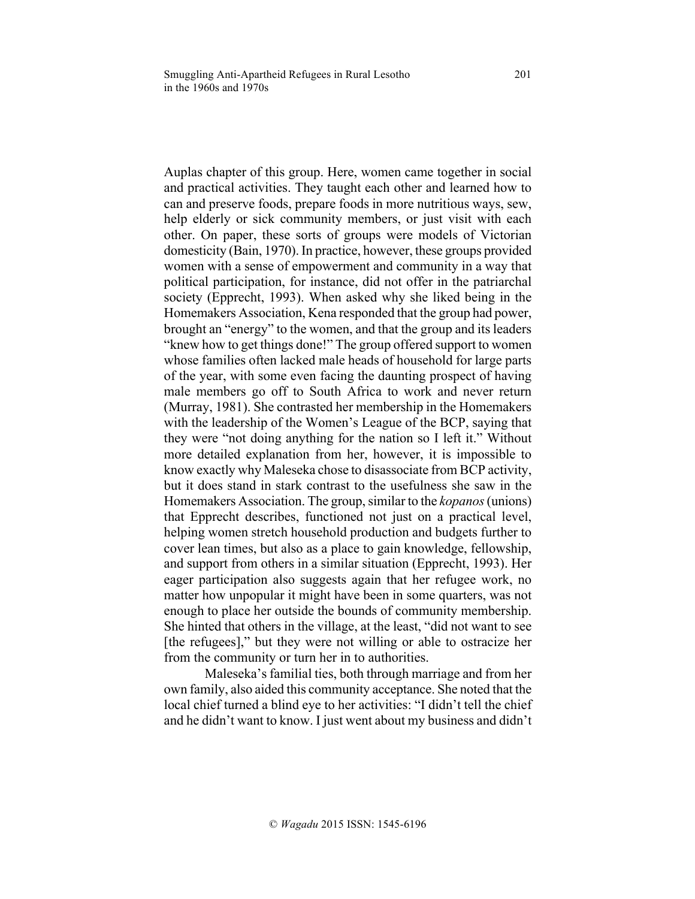Auplas chapter of this group. Here, women came together in social and practical activities. They taught each other and learned how to can and preserve foods, prepare foods in more nutritious ways, sew, help elderly or sick community members, or just visit with each other. On paper, these sorts of groups were models of Victorian domesticity (Bain, 1970). In practice, however, these groups provided women with a sense of empowerment and community in a way that political participation, for instance, did not offer in the patriarchal society (Epprecht, 1993). When asked why she liked being in the Homemakers Association, Kena responded that the group had power, brought an "energy" to the women, and that the group and its leaders "knew how to get things done!" The group offered support to women whose families often lacked male heads of household for large parts of the year, with some even facing the daunting prospect of having male members go off to South Africa to work and never return (Murray, 1981). She contrasted her membership in the Homemakers with the leadership of the Women's League of the BCP, saying that they were "not doing anything for the nation so I left it." Without more detailed explanation from her, however, it is impossible to know exactly why Maleseka chose to disassociate from BCP activity, but it does stand in stark contrast to the usefulness she saw in the Homemakers Association. The group, similar to the *kopanos*(unions) that Epprecht describes, functioned not just on a practical level, helping women stretch household production and budgets further to cover lean times, but also as a place to gain knowledge, fellowship, and support from others in a similar situation (Epprecht, 1993). Her eager participation also suggests again that her refugee work, no matter how unpopular it might have been in some quarters, was not enough to place her outside the bounds of community membership. She hinted that others in the village, at the least, "did not want to see [the refugees]," but they were not willing or able to ostracize her from the community or turn her in to authorities.

Maleseka's familial ties, both through marriage and from her own family, also aided this community acceptance. She noted that the local chief turned a blind eye to her activities: "I didn't tell the chief and he didn't want to know. I just went about my business and didn't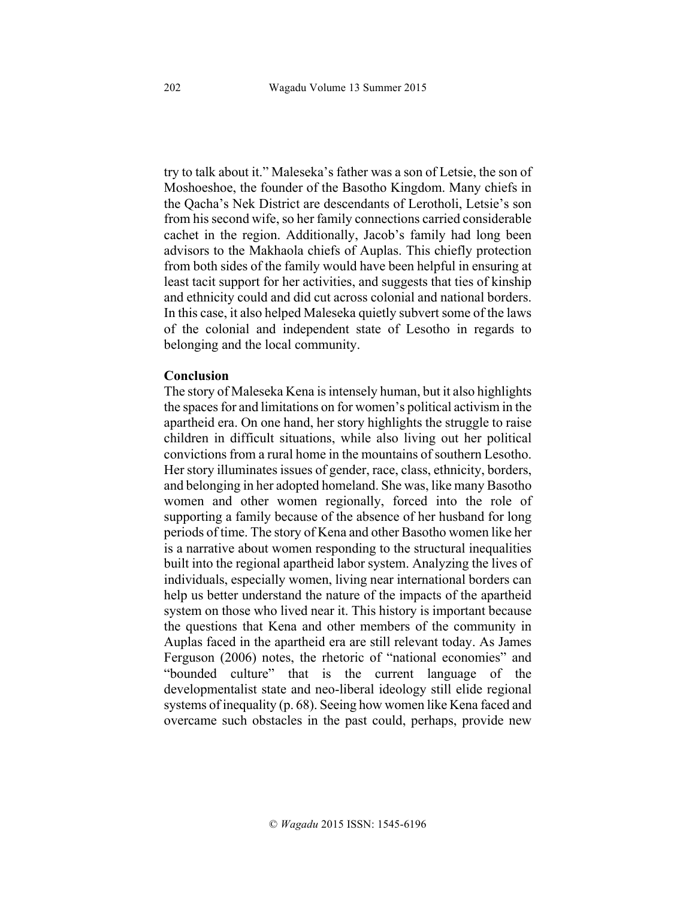try to talk about it." Maleseka's father was a son of Letsie, the son of Moshoeshoe, the founder of the Basotho Kingdom. Many chiefs in the Qacha's Nek District are descendants of Lerotholi, Letsie's son from his second wife, so her family connections carried considerable cachet in the region. Additionally, Jacob's family had long been advisors to the Makhaola chiefs of Auplas. This chiefly protection from both sides of the family would have been helpful in ensuring at least tacit support for her activities, and suggests that ties of kinship and ethnicity could and did cut across colonial and national borders. In this case, it also helped Maleseka quietly subvert some of the laws of the colonial and independent state of Lesotho in regards to belonging and the local community.

#### **Conclusion**

The story of Maleseka Kena is intensely human, but it also highlights the spaces for and limitations on for women's political activism in the apartheid era. On one hand, her story highlights the struggle to raise children in difficult situations, while also living out her political convictions from a rural home in the mountains of southern Lesotho. Her story illuminates issues of gender, race, class, ethnicity, borders, and belonging in her adopted homeland. She was, like many Basotho women and other women regionally, forced into the role of supporting a family because of the absence of her husband for long periods of time. The story of Kena and other Basotho women like her is a narrative about women responding to the structural inequalities built into the regional apartheid labor system. Analyzing the lives of individuals, especially women, living near international borders can help us better understand the nature of the impacts of the apartheid system on those who lived near it. This history is important because the questions that Kena and other members of the community in Auplas faced in the apartheid era are still relevant today. As James Ferguson (2006) notes, the rhetoric of "national economies" and "bounded culture" that is the current language of the developmentalist state and neo-liberal ideology still elide regional systems of inequality (p. 68). Seeing how women like Kena faced and overcame such obstacles in the past could, perhaps, provide new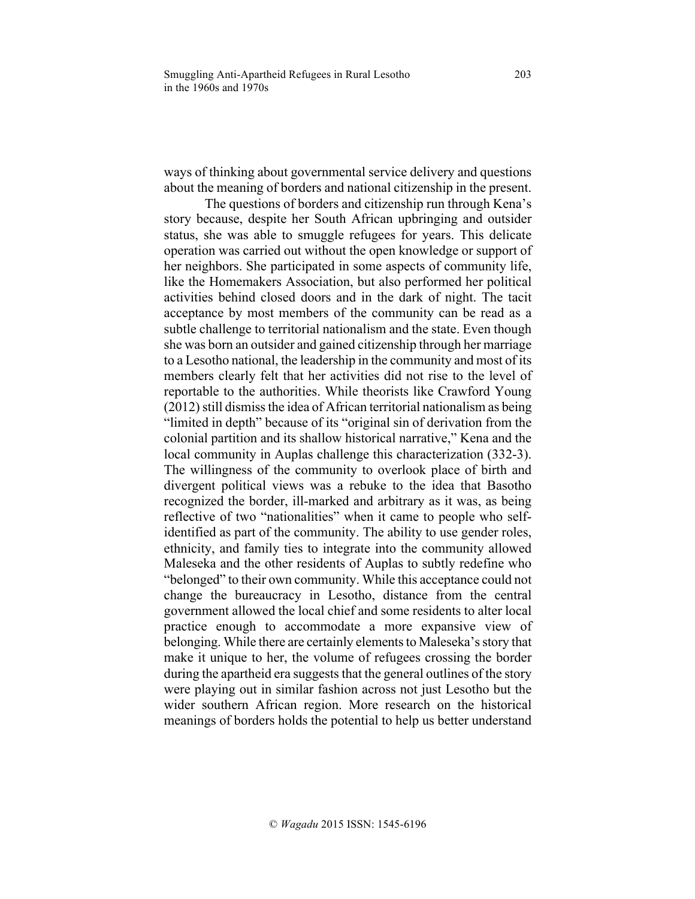ways of thinking about governmental service delivery and questions about the meaning of borders and national citizenship in the present.

The questions of borders and citizenship run through Kena's story because, despite her South African upbringing and outsider status, she was able to smuggle refugees for years. This delicate operation was carried out without the open knowledge or support of her neighbors. She participated in some aspects of community life, like the Homemakers Association, but also performed her political activities behind closed doors and in the dark of night. The tacit acceptance by most members of the community can be read as a subtle challenge to territorial nationalism and the state. Even though she was born an outsider and gained citizenship through her marriage to a Lesotho national, the leadership in the community and most of its members clearly felt that her activities did not rise to the level of reportable to the authorities. While theorists like Crawford Young  $(2012)$  still dismiss the idea of African territorial nationalism as being "limited in depth" because of its "original sin of derivation from the colonial partition and its shallow historical narrative," Kena and the local community in Auplas challenge this characterization (332-3). The willingness of the community to overlook place of birth and divergent political views was a rebuke to the idea that Basotho recognized the border, ill-marked and arbitrary as it was, as being reflective of two "nationalities" when it came to people who selfidentified as part of the community. The ability to use gender roles, ethnicity, and family ties to integrate into the community allowed Maleseka and the other residents of Auplas to subtly redefine who "belonged" to their own community. While this acceptance could not change the bureaucracy in Lesotho, distance from the central government allowed the local chief and some residents to alter local practice enough to accommodate a more expansive view of belonging. While there are certainly elements to Maleseka's story that make it unique to her, the volume of refugees crossing the border during the apartheid era suggests that the general outlines of the story were playing out in similar fashion across not just Lesotho but the wider southern African region. More research on the historical meanings of borders holds the potential to help us better understand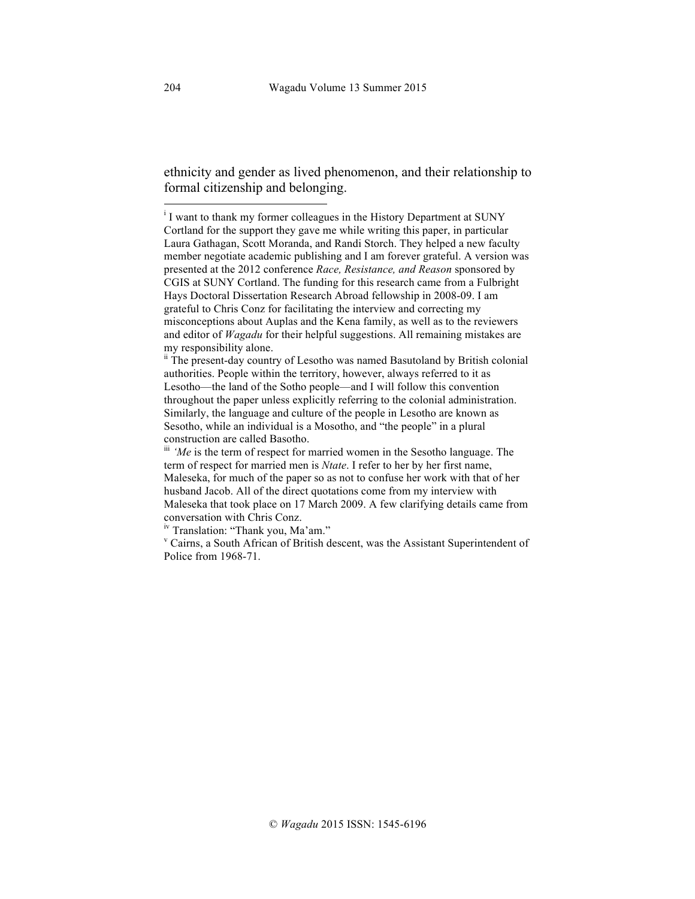ethnicity and gender as lived phenomenon, and their relationship to formal citizenship and belonging.

<sup>iv</sup> Translation: "Thank you, Ma'am."<br><sup>v</sup> Cairns, a South African of British descent, was the Assistant Superintendent of Police from 1968-71.

<sup>|&</sup>lt;br>i  $\overline{I}$  I want to thank my former colleagues in the History Department at SUNY Cortland for the support they gave me while writing this paper, in particular Laura Gathagan, Scott Moranda, and Randi Storch. They helped a new faculty member negotiate academic publishing and I am forever grateful. A version was presented at the 2012 conference *Race, Resistance, and Reason* sponsored by CGIS at SUNY Cortland. The funding for this research came from a Fulbright Hays Doctoral Dissertation Research Abroad fellowship in 2008-09. I am grateful to Chris Conz for facilitating the interview and correcting my misconceptions about Auplas and the Kena family, as well as to the reviewers and editor of *Wagadu* for their helpful suggestions. All remaining mistakes are my responsibility alone.<br>ii The present-day country of Lesotho was named Basutoland by British colonial

authorities. People within the territory, however, always referred to it as Lesotho—the land of the Sotho people—and I will follow this convention throughout the paper unless explicitly referring to the colonial administration. Similarly, the language and culture of the people in Lesotho are known as Sesotho, while an individual is a Mosotho, and "the people" in a plural construction are called Basotho.

iii 'Me is the term of respect for married women in the Sesotho language. The term of respect for married men is *Ntate*. I refer to her by her first name, Maleseka, for much of the paper so as not to confuse her work with that of her husband Jacob. All of the direct quotations come from my interview with Maleseka that took place on 17 March 2009. A few clarifying details came from conversation with Chris Conz.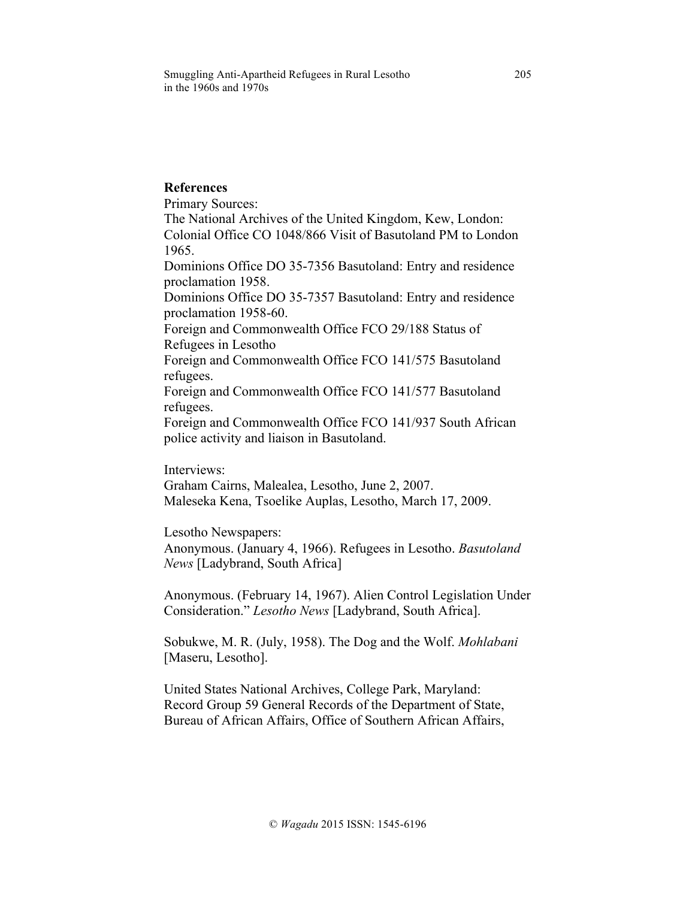Smuggling Anti-Apartheid Refugees in Rural Lesotho 205 in the 1960s and 1970s

# **References**

Primary Sources:

The National Archives of the United Kingdom, Kew, London: Colonial Office CO 1048/866 Visit of Basutoland PM to London 1965.

Dominions Office DO 35-7356 Basutoland: Entry and residence proclamation 1958.

Dominions Office DO 35-7357 Basutoland: Entry and residence proclamation 1958-60.

Foreign and Commonwealth Office FCO 29/188 Status of Refugees in Lesotho

Foreign and Commonwealth Office FCO 141/575 Basutoland refugees.

Foreign and Commonwealth Office FCO 141/577 Basutoland refugees.

Foreign and Commonwealth Office FCO 141/937 South African police activity and liaison in Basutoland.

Interviews:

Graham Cairns, Malealea, Lesotho, June 2, 2007. Maleseka Kena, Tsoelike Auplas, Lesotho, March 17, 2009.

Lesotho Newspapers:

Anonymous. (January 4, 1966). Refugees in Lesotho. *Basutoland News* [Ladybrand, South Africa]

Anonymous. (February 14, 1967). Alien Control Legislation Under Consideration." *Lesotho News* [Ladybrand, South Africa].

Sobukwe, M. R. (July, 1958). The Dog and the Wolf. *Mohlabani* [Maseru, Lesotho].

United States National Archives, College Park, Maryland: Record Group 59 General Records of the Department of State, Bureau of African Affairs, Office of Southern African Affairs,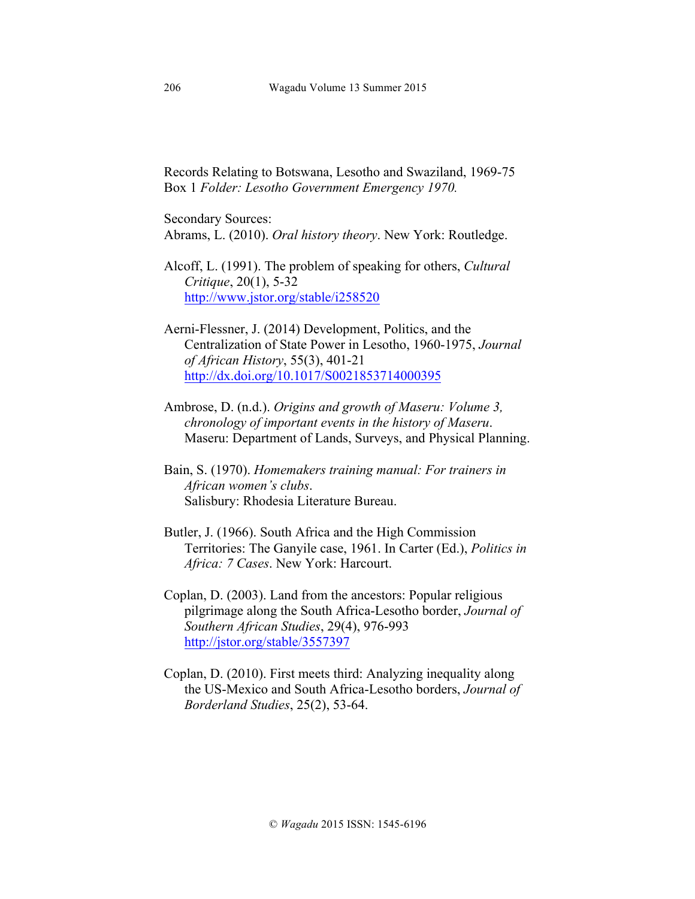Records Relating to Botswana, Lesotho and Swaziland, 1969-75 Box 1 *Folder: Lesotho Government Emergency 1970.*

Secondary Sources: Abrams, L. (2010). *Oral history theory*. New York: Routledge.

Alcoff, L. (1991). The problem of speaking for others, *Cultural Critique*, 20(1), 5-32 http://www.jstor.org/stable/i258520

- Aerni-Flessner, J. (2014) Development, Politics, and the Centralization of State Power in Lesotho, 1960-1975, *Journal of African History*, 55(3), 401-21 http://dx.doi.org/10.1017/S0021853714000395
- Ambrose, D. (n.d.). *Origins and growth of Maseru: Volume 3, chronology of important events in the history of Maseru*. Maseru: Department of Lands, Surveys, and Physical Planning.
- Bain, S. (1970). *Homemakers training manual: For trainers in African women's clubs*. Salisbury: Rhodesia Literature Bureau.
- Butler, J. (1966). South Africa and the High Commission Territories: The Ganyile case, 1961. In Carter (Ed.), *Politics in Africa: 7 Cases*. New York: Harcourt.
- Coplan, D. (2003). Land from the ancestors: Popular religious pilgrimage along the South Africa-Lesotho border, *Journal of Southern African Studies*, 29(4), 976-993 http://jstor.org/stable/3557397
- Coplan, D. (2010). First meets third: Analyzing inequality along the US-Mexico and South Africa-Lesotho borders, *Journal of Borderland Studies*, 25(2), 53-64.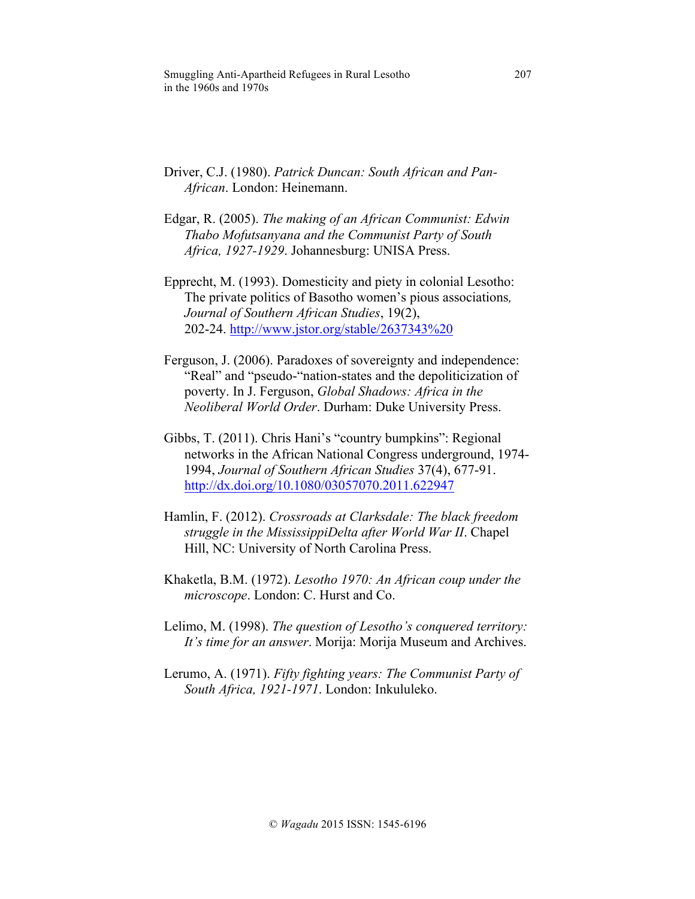Smuggling Anti-Apartheid Refugees in Rural Lesotho 207 in the 1960s and 1970s

- Driver, C.J. (1980). *Patrick Duncan: South African and Pan-African*. London: Heinemann.
- Edgar, R. (2005). *The making of an African Communist: Edwin Thabo Mofutsanyana and the Communist Party of South Africa, 1927-1929*. Johannesburg: UNISA Press.
- Epprecht, M. (1993). Domesticity and piety in colonial Lesotho: The private politics of Basotho women's pious associations*, Journal of Southern African Studies*, 19(2), 202-24. http://www.jstor.org/stable/2637343%20
- Ferguson, J. (2006). Paradoxes of sovereignty and independence: "Real" and "pseudo-"nation-states and the depoliticization of poverty. In J. Ferguson, *Global Shadows: Africa in the Neoliberal World Order*. Durham: Duke University Press.
- Gibbs, T. (2011). Chris Hani's "country bumpkins": Regional networks in the African National Congress underground, 1974- 1994, *Journal of Southern African Studies* 37(4), 677-91. http://dx.doi.org/10.1080/03057070.2011.622947
- Hamlin, F. (2012). *Crossroads at Clarksdale: The black freedom struggle in the MississippiDelta after World War II*. Chapel Hill, NC: University of North Carolina Press.
- Khaketla, B.M. (1972). *Lesotho 1970: An African coup under the microscope*. London: C. Hurst and Co.
- Lelimo, M. (1998). *The question of Lesotho's conquered territory: It's time for an answer*. Morija: Morija Museum and Archives.
- Lerumo, A. (1971). *Fifty fighting years: The Communist Party of South Africa, 1921-1971*. London: Inkululeko.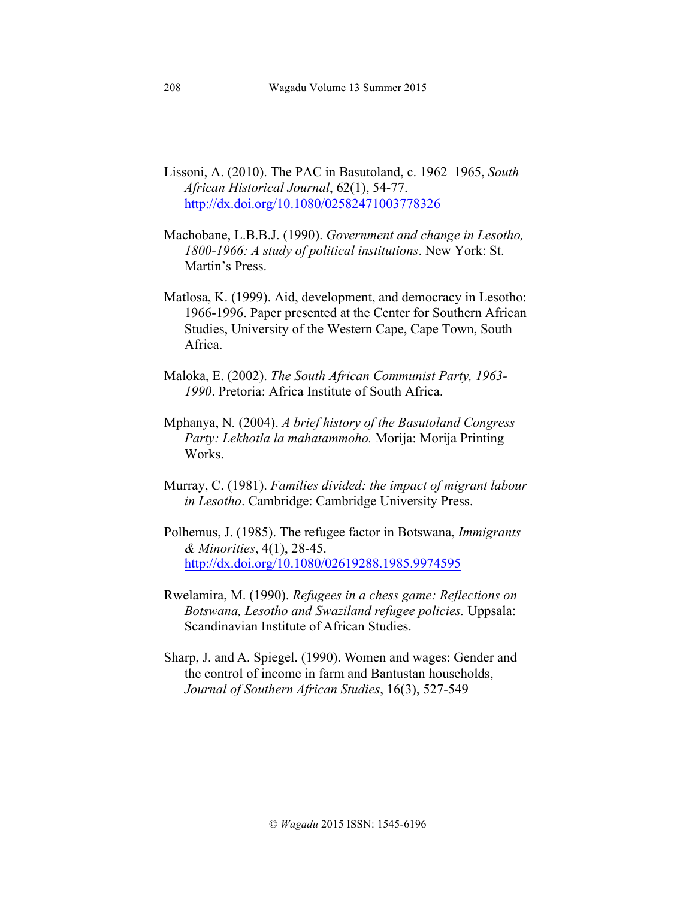- Lissoni, A. (2010). The PAC in Basutoland, c. 1962–1965, *South African Historical Journal*, 62(1), 54-77. http://dx.doi.org/10.1080/02582471003778326
- Machobane, L.B.B.J. (1990). *Government and change in Lesotho, 1800-1966: A study of political institutions*. New York: St. Martin's Press.
- Matlosa, K. (1999). Aid, development, and democracy in Lesotho: 1966-1996. Paper presented at the Center for Southern African Studies, University of the Western Cape, Cape Town, South Africa.
- Maloka, E. (2002). *The South African Communist Party, 1963- 1990*. Pretoria: Africa Institute of South Africa.
- Mphanya, N*.* (2004). *A brief history of the Basutoland Congress Party: Lekhotla la mahatammoho.* Morija: Morija Printing Works.
- Murray, C. (1981). *Families divided: the impact of migrant labour in Lesotho*. Cambridge: Cambridge University Press.
- Polhemus, J. (1985). The refugee factor in Botswana, *Immigrants & Minorities*, 4(1), 28-45. http://dx.doi.org/10.1080/02619288.1985.9974595
- Rwelamira, M. (1990). *Refugees in a chess game: Reflections on Botswana, Lesotho and Swaziland refugee policies.* Uppsala: Scandinavian Institute of African Studies.
- Sharp, J. and A. Spiegel. (1990). Women and wages: Gender and the control of income in farm and Bantustan households, *Journal of Southern African Studies*, 16(3), 527-549